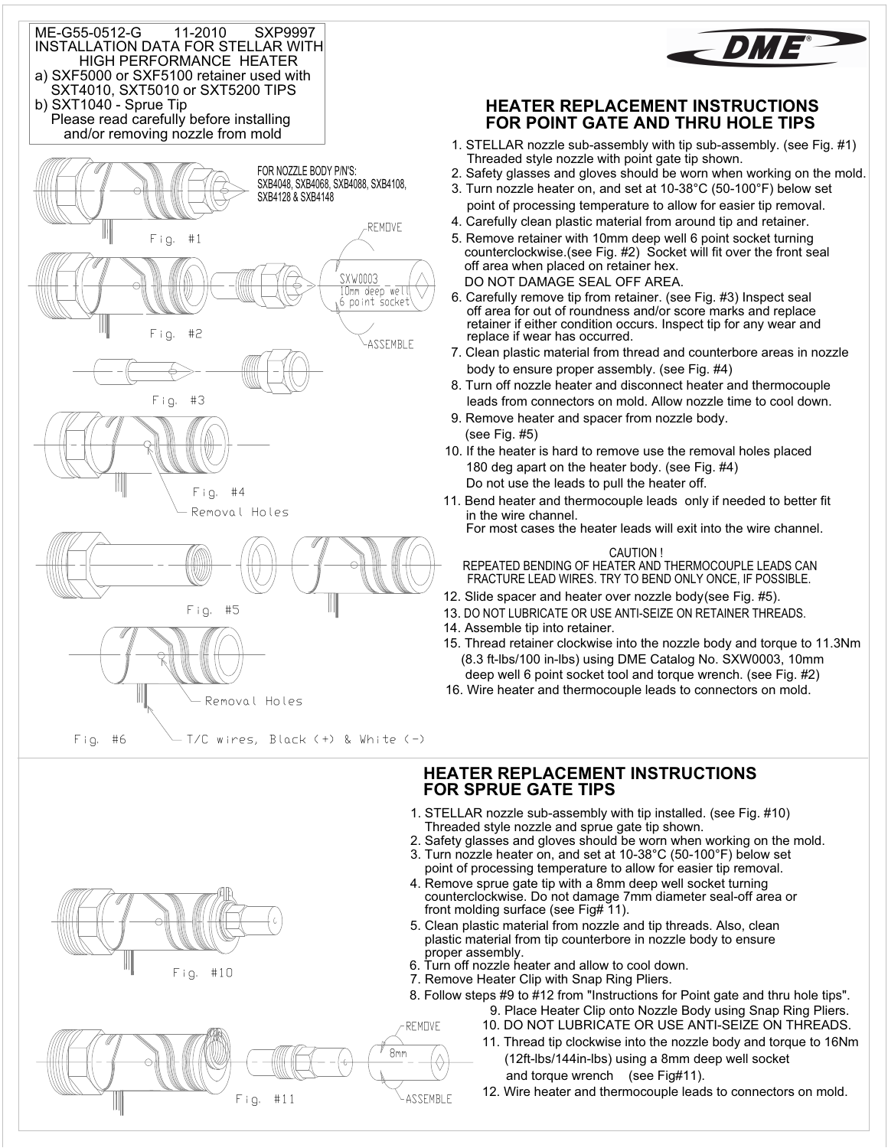



### **HEATER REPLACEMENT INSTRUCTIONS FOR POINT GATE AND THRU HOLE TIPS**

- 1. STELLAR nozzle sub-assembly with tip sub-assembly. (see Fig. #1) Threaded style nozzle with point gate tip shown.
- 2. Safety glasses and gloves should be worn when working on the mold.
- 3. Turn nozzle heater on, and set at 10-38°C (50-100°F) below set point of processing temperature to allow for easier tip removal.
- 4. Carefully clean plastic material from around tip and retainer.
- 5. Remove retainer with 10mm deep well 6 point socket turning counterclockwise.(see Fig. #2) Socket will fit over the front seal off area when placed on retainer hex. DO NOT DAMAGE SEAL OFF AREA.
- 6. Carefully remove tip from retainer. (see Fig. #3) Inspect seal off area for out of roundness and/or score marks and replace retainer if either condition occurs. Inspect tip for any wear and replace if wear has occurred.
- 7. Clean plastic material from thread and counterbore areas in nozzle body to ensure proper assembly. (see Fig. #4)
- 8. Turn off nozzle heater and disconnect heater and thermocouple leads from connectors on mold. Allow nozzle time to cool down.
- 9. Remove heater and spacer from nozzle body. (see Fig. #5)
- 180 deg apart on the heater body. (see Fig. #4) 10. If the heater is hard to remove use the removal holes placed Do not use the leads to pull the heater off.
- 11. Bend heater and thermocouple leads only if needed to better fit in the wire channel.

For most cases the heater leads will exit into the wire channel.

#### CAUTION !

REPEATED BENDING OF HEATER AND THERMOCOUPLE LEADS CAN FRACTURE LEAD WIRES. TRY TO BEND ONLY ONCE, IF POSSIBLE.

- 12. Slide spacer and heater over nozzle body (see Fig. #5).
- 13. DO NOT LUBRICATE OR USE ANTI-SEIZE ON RETAINER THREADS.
- 14. Assemble tip into retainer.
- 15. Thread retainer clockwise into the nozzle body and torque to 11.3Nm (8.3 ft-lbs/100 in-lbs) using DME Catalog No. SXW0003, 10mm deep well 6 point socket tool and torque wrench. (see Fig. #2)
- 16. Wire heater and thermocouple leads to connectors on mold.

### **HEATER REPLACEMENT INSTRUCTIONS FOR SPRUE GATE TIPS**

- 1. STELLAR nozzle sub-assembly with tip installed. (see Fig. #10) Threaded style nozzle and sprue gate tip shown.
- 2. Safety glasses and gloves should be worn when working on the mold.
- 3. Turn nozzle heater on, and set at 10-38°C (50-100°F) below set point of processing temperature to allow for easier tip removal.
- 4. Remove sprue gate tip with a 8mm deep well socket turning counterclockwise. Do not damage 7mm diameter seal-off area or front molding surface (see Fig# 11).
- 5. Clean plastic material from nozzle and tip threads. Also, clean plastic material from tip counterbore in nozzle body to ensure proper assembly.
- 'ו<br>ה 6. Turn off nozzle heater and allow to cool down.
- 7. Remove Heater Clip with Snap Ring Pliers.
- 9. Place Heater Clip onto Nozzle Body using Snap Ring Pliers. 8. Follow steps #9 to #12 from "Instructions for Point gate and thru hole tips".
	- 10. DO NOT LUBRICATE OR USE ANTI-SEIZE ON THREADS.
	- 11. Thread tip clockwise into the nozzle body and torque to 16Nm (12ft-lbs/144in-lbs) using a 8mm deep well socket and torque wrench (see Fig#11).
	- 12. Wire heater and thermocouple leads to connectors on mold.